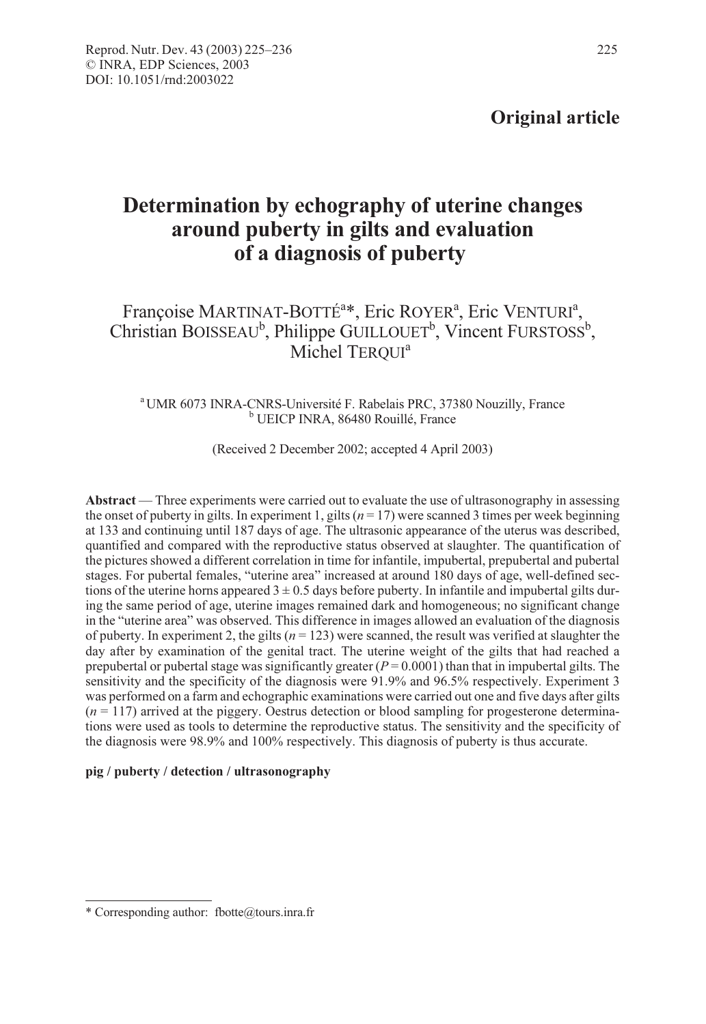## Original article

# Determination by echography of uterine changes around puberty in gilts and evaluation of a diagnosis of puberty

### Françoise MARTINAT-BOTTÉ<sup>a\*</sup>, Eric ROYER<sup>a</sup>, Eric VENTURI<sup>a</sup>, Christian BOISSEAU<sup>b</sup>, Philippe GUILLOUET<sup>b</sup>, Vincent FURSTOSS<sup>b</sup>, Michel TERQUI<sup>a</sup>

# <sup>a</sup> UMR 6073 INRA-CNRS-Université F. Rabelais PRC, 37380 Nouzilly, France<br><sup>b</sup> UEICP INRA, 86480 Rouillé, France

(Received 2 December 2002; accepted 4 April 2003)

Abstract — Three experiments were carried out to evaluate the use of ultrasonography in assessing the onset of puberty in gilts. In experiment 1, gilts ( $n = 17$ ) were scanned 3 times per week beginning at 133 and continuing until 187 days of age. The ultrasonic appearance of the uterus was described, quantified and compared with the reproductive status observed at slaughter. The quantification of the pictures showed a different correlation in time for infantile, impubertal, prepubertal and pubertal stages. For pubertal females, "uterine area" increased at around 180 days of age, well-defined sections of the uterine horns appeared  $3 \pm 0.5$  days before puberty. In infantile and impubertal gilts during the same period of age, uterine images remained dark and homogeneous; no significant change in the "uterine area" was observed. This difference in images allowed an evaluation of the diagnosis of puberty. In experiment 2, the gilts ( $n = 123$ ) were scanned, the result was verified at slaughter the day after by examination of the genital tract. The uterine weight of the gilts that had reached a prepubertal or pubertal stage was significantly greater  $(P = 0.0001)$  than that in impubertal gilts. The sensitivity and the specificity of the diagnosis were 91.9% and 96.5% respectively. Experiment 3 was performed on a farm and echographic examinations were carried out one and five days after gilts  $(n = 117)$  arrived at the piggery. Oestrus detection or blood sampling for progesterone determinations were used as tools to determine the reproductive status. The sensitivity and the specificity of the diagnosis were 98.9% and 100% respectively. This diagnosis of puberty is thus accurate.

#### pig / puberty / detection / ultrasonography

<sup>\*</sup> Corresponding author: fbotte@tours.inra.fr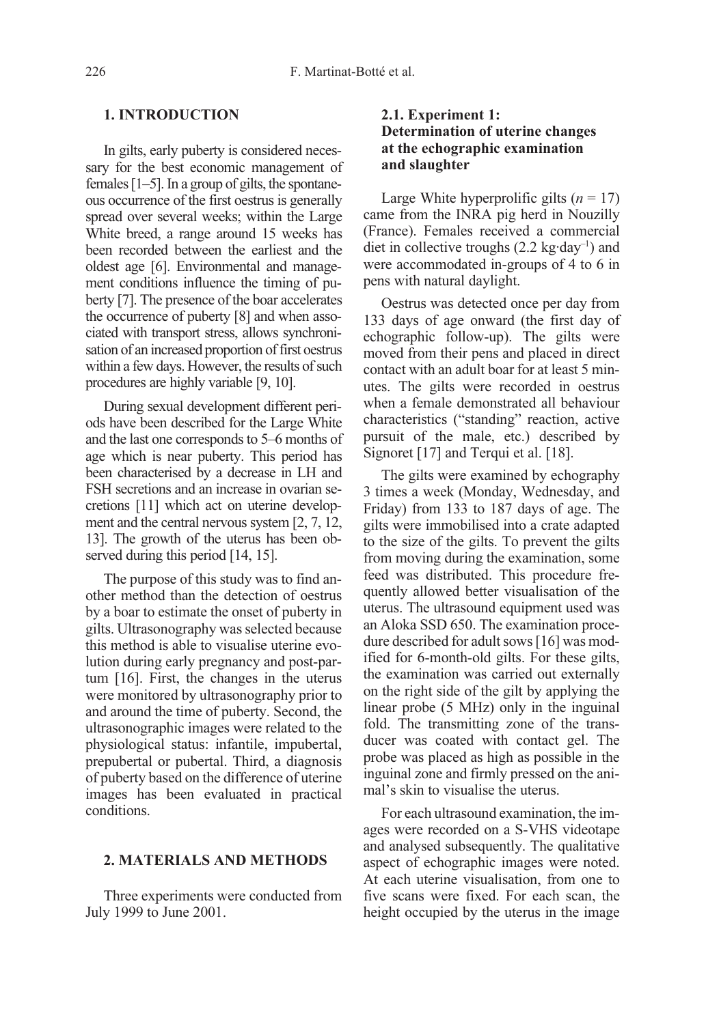#### 1. INTRODUCTION

In gilts, early puberty is considered necessary for the best economic management of females [1–5]. In a group of gilts, the spontaneous occurrence of the first oestrus is generally spread over several weeks; within the Large White breed, a range around 15 weeks has been recorded between the earliest and the oldest age [6]. Environmental and management conditions influence the timing of puberty [7]. The presence of the boar accelerates the occurrence of puberty [8] and when associated with transport stress, allows synchronisation of an increased proportion of first oestrus within a few days. However, the results of such procedures are highly variable [9, 10].

During sexual development different periods have been described for the Large White and the last one corresponds to 5–6 months of age which is near puberty. This period has been characterised by a decrease in LH and FSH secretions and an increase in ovarian secretions [11] which act on uterine development and the central nervous system [2, 7, 12, 13]. The growth of the uterus has been observed during this period [14, 15].

The purpose of this study was to find another method than the detection of oestrus by a boar to estimate the onset of puberty in gilts. Ultrasonography was selected because this method is able to visualise uterine evolution during early pregnancy and post-partum [16]. First, the changes in the uterus were monitored by ultrasonography prior to and around the time of puberty. Second, the ultrasonographic images were related to the physiological status: infantile, impubertal, prepubertal or pubertal. Third, a diagnosis of puberty based on the difference of uterine images has been evaluated in practical conditions.

#### 2. MATERIALS AND METHODS

Three experiments were conducted from July 1999 to June 2001.

#### 2.1. Experiment 1: Determination of uterine changes at the echographic examination and slaughter

Large White hyperprolific gilts  $(n = 17)$ came from the INRA pig herd in Nouzilly (France). Females received a commercial diet in collective troughs  $(2.2 \text{ kg-day}^{-1})$  and were accommodated in-groups of 4 to 6 in pens with natural daylight.

Oestrus was detected once per day from 133 days of age onward (the first day of echographic follow-up). The gilts were moved from their pens and placed in direct contact with an adult boar for at least 5 minutes. The gilts were recorded in oestrus when a female demonstrated all behaviour characteristics ("standing" reaction, active pursuit of the male, etc.) described by Signoret [17] and Terqui et al. [18].

The gilts were examined by echography 3 times a week (Monday, Wednesday, and Friday) from 133 to 187 days of age. The gilts were immobilised into a crate adapted to the size of the gilts. To prevent the gilts from moving during the examination, some feed was distributed. This procedure frequently allowed better visualisation of the uterus. The ultrasound equipment used was an Aloka SSD 650. The examination procedure described for adult sows [16] was modified for 6-month-old gilts. For these gilts, the examination was carried out externally on the right side of the gilt by applying the linear probe (5 MHz) only in the inguinal fold. The transmitting zone of the transducer was coated with contact gel. The probe was placed as high as possible in the inguinal zone and firmly pressed on the animal's skin to visualise the uterus.

For each ultrasound examination, the images were recorded on a S-VHS videotape and analysed subsequently. The qualitative aspect of echographic images were noted. At each uterine visualisation, from one to five scans were fixed. For each scan, the height occupied by the uterus in the image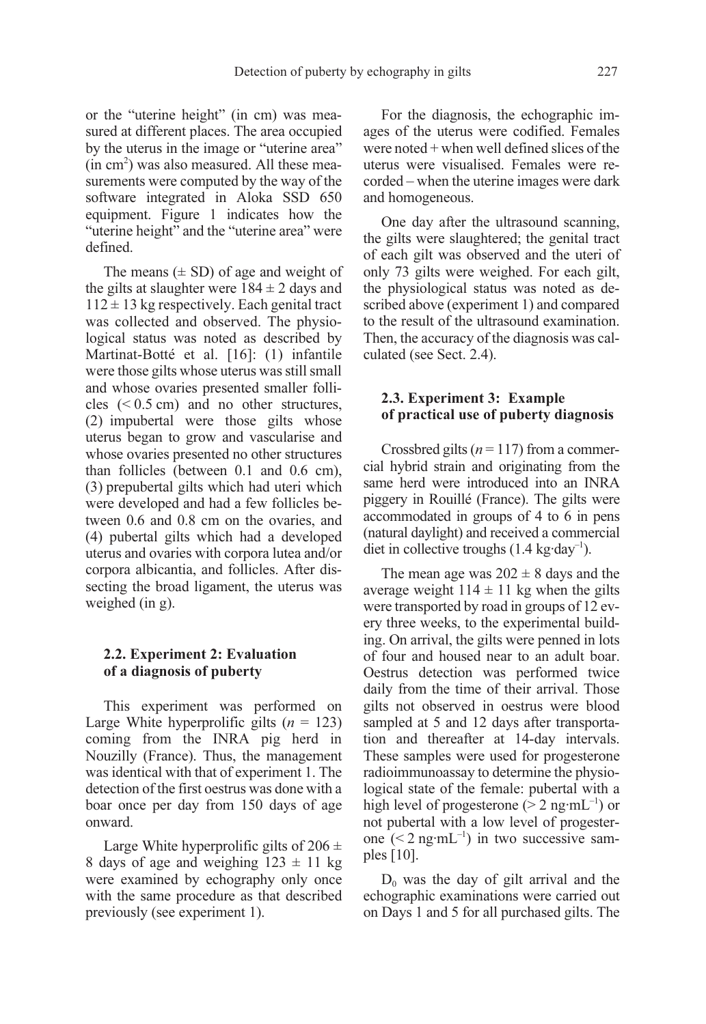or the "uterine height" (in cm) was measured at different places. The area occupied by the uterus in the image or "uterine area"  $(in cm<sup>2</sup>)$  was also measured. All these measurements were computed by the way of the software integrated in Aloka SSD 650 equipment. Figure 1 indicates how the "uterine height" and the "uterine area" were defined.

The means  $(\pm SD)$  of age and weight of the gilts at slaughter were  $184 \pm 2$  days and  $112 \pm 13$  kg respectively. Each genital tract was collected and observed. The physiological status was noted as described by Martinat-Botté et al. [16]: (1) infantile were those gilts whose uterus was still small and whose ovaries presented smaller follicles  $( $0.5 \text{ cm}$ )$  and no other structures, (2) impubertal were those gilts whose uterus began to grow and vascularise and whose ovaries presented no other structures than follicles (between 0.1 and 0.6 cm), (3) prepubertal gilts which had uteri which were developed and had a few follicles between 0.6 and 0.8 cm on the ovaries, and (4) pubertal gilts which had a developed uterus and ovaries with corpora lutea and/or corpora albicantia, and follicles. After dissecting the broad ligament, the uterus was weighed (in g).

#### 2.2. Experiment 2: Evaluation of a diagnosis of puberty

This experiment was performed on Large White hyperprolific gilts  $(n = 123)$ coming from the INRA pig herd in Nouzilly (France). Thus, the management was identical with that of experiment 1. The detection of the first oestrus was done with a boar once per day from 150 days of age onward.

Large White hyperprolific gilts of  $206 \pm$ 8 days of age and weighing  $123 \pm 11$  kg were examined by echography only once with the same procedure as that described previously (see experiment 1).

For the diagnosis, the echographic images of the uterus were codified. Females were noted  $+$  when well defined slices of the uterus were visualised. Females were recorded – when the uterine images were dark and homogeneous.

One day after the ultrasound scanning, the gilts were slaughtered; the genital tract of each gilt was observed and the uteri of only 73 gilts were weighed. For each gilt, the physiological status was noted as described above (experiment 1) and compared to the result of the ultrasound examination. Then, the accuracy of the diagnosis was calculated (see Sect. 2.4).

#### 2.3. Experiment 3: Example of practical use of puberty diagnosis

Crossbred gilts ( $n = 117$ ) from a commercial hybrid strain and originating from the same herd were introduced into an INRA piggery in Rouillé (France). The gilts were accommodated in groups of 4 to 6 in pens (natural daylight) and received a commercial diet in collective troughs  $(1.4 \text{ kg-day}^{-1})$ .

The mean age was  $202 \pm 8$  days and the average weight  $114 \pm 11$  kg when the gilts were transported by road in groups of 12 every three weeks, to the experimental building. On arrival, the gilts were penned in lots of four and housed near to an adult boar. Oestrus detection was performed twice daily from the time of their arrival. Those gilts not observed in oestrus were blood sampled at 5 and 12 days after transportation and thereafter at 14-day intervals. These samples were used for progesterone radioimmunoassay to determine the physiological state of the female: pubertal with a high level of progesterone ( $> 2$  ng·mL<sup>-1</sup>) or not pubertal with a low level of progesterone  $(< 2 \text{ ng·mL}^{-1})$  in two successive samples [10].

 $D_0$  was the day of gilt arrival and the echographic examinations were carried out on Days 1 and 5 for all purchased gilts. The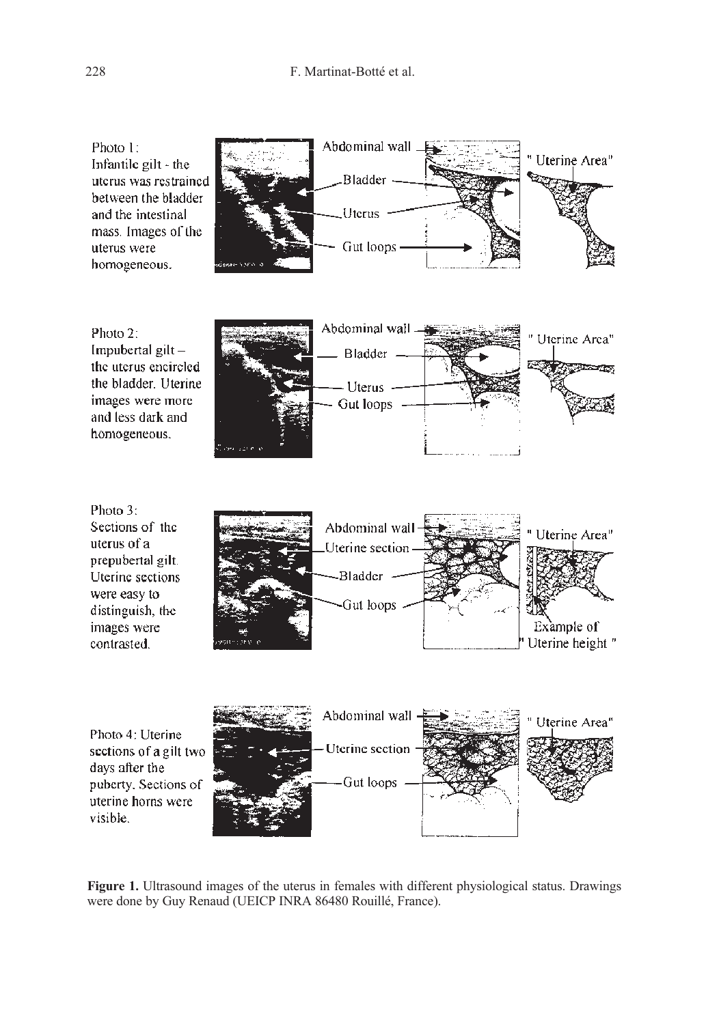









Figure 1. Ultrasound images of the uterus in females with different physiological status. Drawings were done by Guy Renaud (UEICP INRA 86480 Rouillé, France).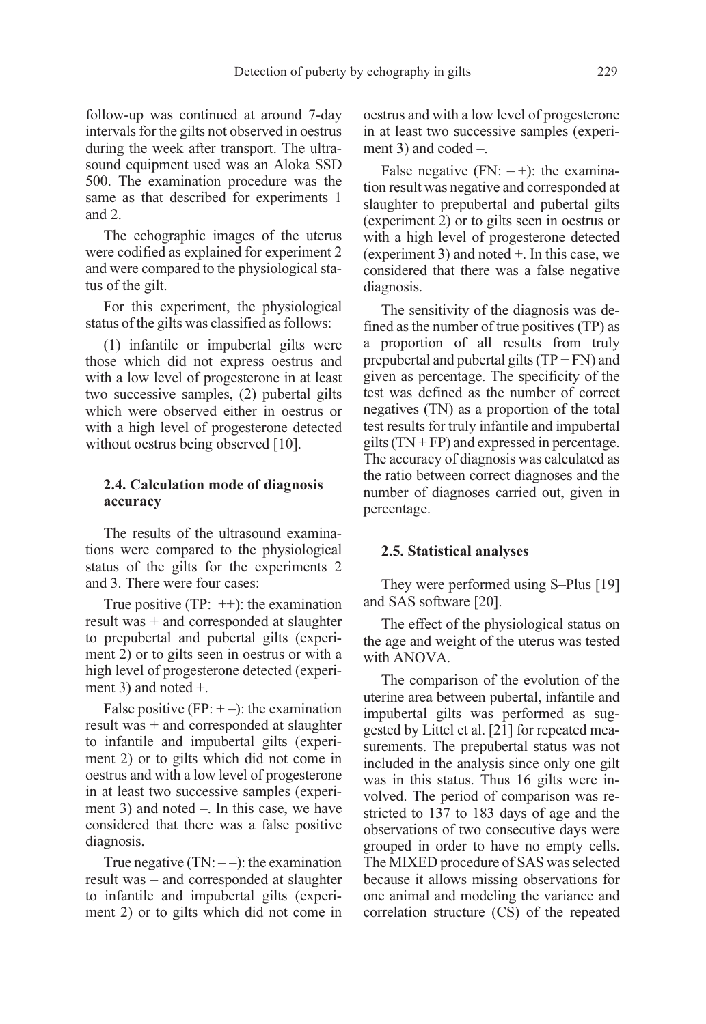follow-up was continued at around 7-day intervals for the gilts not observed in oestrus during the week after transport. The ultrasound equipment used was an Aloka SSD 500. The examination procedure was the same as that described for experiments 1 and 2.

The echographic images of the uterus were codified as explained for experiment 2 and were compared to the physiological status of the gilt.

For this experiment, the physiological status of the gilts was classified as follows:

(1) infantile or impubertal gilts were those which did not express oestrus and with a low level of progesterone in at least two successive samples, (2) pubertal gilts which were observed either in oestrus or with a high level of progesterone detected without oestrus being observed [10].

#### 2.4. Calculation mode of diagnosis accuracy

The results of the ultrasound examinations were compared to the physiological status of the gilts for the experiments 2 and 3. There were four cases:

True positive (TP:  $++$ ): the examination result was + and corresponded at slaughter to prepubertal and pubertal gilts (experiment 2) or to gilts seen in oestrus or with a high level of progesterone detected (experiment 3) and noted +.

False positive  $(FP: + -)$ : the examination result was + and corresponded at slaughter to infantile and impubertal gilts (experiment 2) or to gilts which did not come in oestrus and with a low level of progesterone in at least two successive samples (experiment 3) and noted –. In this case, we have considered that there was a false positive diagnosis.

True negative  $(TN: --)$ : the examination result was – and corresponded at slaughter to infantile and impubertal gilts (experiment 2) or to gilts which did not come in oestrus and with a low level of progesterone in at least two successive samples (experiment 3) and coded –.

False negative  $(FN: -+)$ : the examination result was negative and corresponded at slaughter to prepubertal and pubertal gilts (experiment 2) or to gilts seen in oestrus or with a high level of progesterone detected (experiment 3) and noted +. In this case, we considered that there was a false negative diagnosis.

The sensitivity of the diagnosis was defined as the number of true positives (TP) as a proportion of all results from truly prepubertal and pubertal gilts  $(TP + FN)$  and given as percentage. The specificity of the test was defined as the number of correct negatives (TN) as a proportion of the total test results for truly infantile and impubertal gilts  $(TN + FP)$  and expressed in percentage. The accuracy of diagnosis was calculated as the ratio between correct diagnoses and the number of diagnoses carried out, given in percentage.

#### 2.5. Statistical analyses

They were performed using S–Plus [19] and SAS software [20].

The effect of the physiological status on the age and weight of the uterus was tested with ANOVA.

The comparison of the evolution of the uterine area between pubertal, infantile and impubertal gilts was performed as suggested by Littel et al. [21] for repeated measurements. The prepubertal status was not included in the analysis since only one gilt was in this status. Thus 16 gilts were involved. The period of comparison was restricted to 137 to 183 days of age and the observations of two consecutive days were grouped in order to have no empty cells. The MIXED procedure of SAS was selected because it allows missing observations for one animal and modeling the variance and correlation structure (CS) of the repeated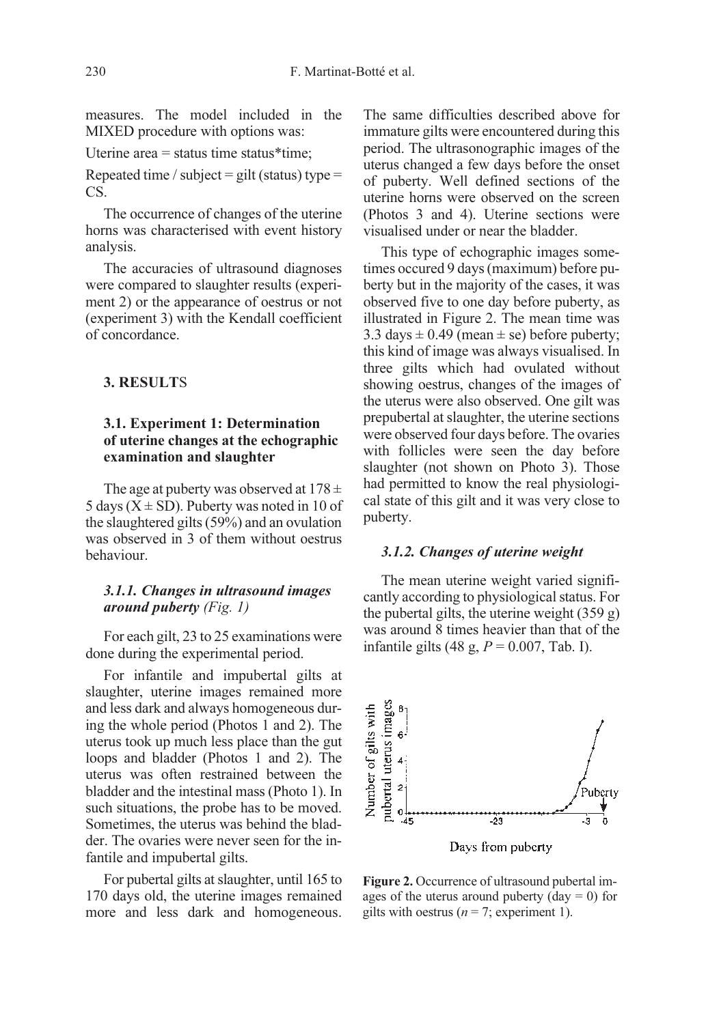measures. The model included in the MIXED procedure with options was:

Uterine area = status time status\*time;

Repeated time / subject = gilt (status) type = CS.

The occurrence of changes of the uterine horns was characterised with event history analysis.

The accuracies of ultrasound diagnoses were compared to slaughter results (experiment 2) or the appearance of oestrus or not (experiment 3) with the Kendall coefficient of concordance.

#### 3. RESULTS

#### 3.1. Experiment 1: Determination of uterine changes at the echographic examination and slaughter

The age at puberty was observed at  $178 \pm$ 5 days ( $X \pm SD$ ). Puberty was noted in 10 of the slaughtered gilts (59%) and an ovulation was observed in 3 of them without oestrus behaviour.

#### 3.1.1. Changes in ultrasound images around puberty (Fig. 1)

For each gilt, 23 to 25 examinations were done during the experimental period.

For infantile and impubertal gilts at slaughter, uterine images remained more and less dark and always homogeneous during the whole period (Photos 1 and 2). The uterus took up much less place than the gut loops and bladder (Photos 1 and 2). The uterus was often restrained between the bladder and the intestinal mass (Photo 1). In such situations, the probe has to be moved. Sometimes, the uterus was behind the bladder. The ovaries were never seen for the infantile and impubertal gilts.

For pubertal gilts at slaughter, until 165 to 170 days old, the uterine images remained more and less dark and homogeneous. The same difficulties described above for immature gilts were encountered during this period. The ultrasonographic images of the uterus changed a few days before the onset of puberty. Well defined sections of the uterine horns were observed on the screen (Photos 3 and 4). Uterine sections were visualised under or near the bladder.

This type of echographic images sometimes occured 9 days (maximum) before puberty but in the majority of the cases, it was observed five to one day before puberty, as illustrated in Figure 2. The mean time was 3.3 days  $\pm$  0.49 (mean  $\pm$  se) before puberty; this kind of image was always visualised. In three gilts which had ovulated without showing oestrus, changes of the images of the uterus were also observed. One gilt was prepubertal at slaughter, the uterine sections were observed four days before. The ovaries with follicles were seen the day before slaughter (not shown on Photo 3). Those had permitted to know the real physiological state of this gilt and it was very close to puberty.

#### 3.1.2. Changes of uterine weight

The mean uterine weight varied significantly according to physiological status. For the pubertal gilts, the uterine weight  $(359 g)$ was around 8 times heavier than that of the infantile gilts (48 g,  $P = 0.007$ , Tab. I).



Figure 2. Occurrence of ultrasound pubertal images of the uterus around puberty ( $day = 0$ ) for gilts with oestrus ( $n = 7$ ; experiment 1).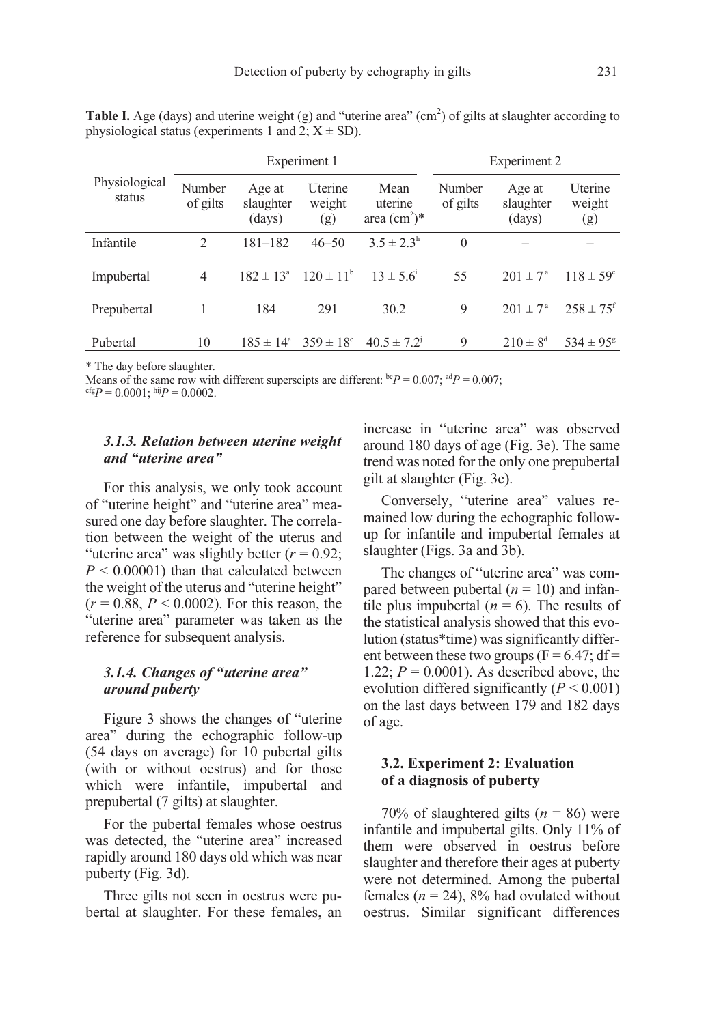|                         | Experiment 1       |                               |                          |                                    | Experiment 2       |                               |                           |
|-------------------------|--------------------|-------------------------------|--------------------------|------------------------------------|--------------------|-------------------------------|---------------------------|
| Physiological<br>status | Number<br>of gilts | Age at<br>slaughter<br>(days) | Uterine<br>weight<br>(g) | Mean<br>uterine<br>area $(cm^2)^*$ | Number<br>of gilts | Age at<br>slaughter<br>(days) | Uterine<br>weight<br>(g)  |
| Infantile               | $\mathfrak{D}$     | $181 - 182$                   | $46 - 50$                | $3.5 \pm 2.3^{\rm h}$              | $\theta$           |                               |                           |
| Impubertal              | 4                  | $182 \pm 13^{\circ}$          | $120 \pm 11^{\rm b}$     | $13 \pm 5.6$ <sup>1</sup>          | 55                 | $2.01 \pm 7^{\circ}$          | $118 \pm 59^{\circ}$      |
| Prepubertal             |                    | 184                           | 291                      | 30.2                               | 9                  | $201 \pm 7^{\rm a}$           | $258 \pm 75$ <sup>f</sup> |
| Pubertal                | 10                 | $185 \pm 14^{\circ}$          | $359 \pm 18^{\circ}$     | $40.5 \pm 7.2$ <sup>1</sup>        | 9                  | $210 \pm 8^d$                 | $534 \pm 95^8$            |

**Table I.** Age (days) and uterine weight (g) and "uterine area" (cm<sup>2</sup>) of gilts at slaughter according to physiological status (experiments 1 and 2;  $X \pm SD$ ).

\* The day before slaughter.

Means of the same row with different superscipts are different:  ${}^{bc}P = 0.007$ ;  ${}^{ad}P = 0.007$ ;

 $e^{i\epsilon}P = 0.0001$ ; hij $P = 0.0002$ .

#### 3.1.3. Relation between uterine weight and "uterine area"

For this analysis, we only took account of "uterine height" and "uterine area" measured one day before slaughter. The correlation between the weight of the uterus and "uterine area" was slightly better  $(r = 0.92)$ ;  $P \leq 0.00001$  than that calculated between the weight of the uterus and "uterine height"  $(r = 0.88, P < 0.0002)$ . For this reason, the "uterine area" parameter was taken as the reference for subsequent analysis.

#### 3.1.4. Changes of "uterine area" around puberty

Figure 3 shows the changes of "uterine area" during the echographic follow-up (54 days on average) for 10 pubertal gilts (with or without oestrus) and for those which were infantile, impubertal and prepubertal (7 gilts) at slaughter.

For the pubertal females whose oestrus was detected, the "uterine area" increased rapidly around 180 days old which was near puberty (Fig. 3d).

Three gilts not seen in oestrus were pubertal at slaughter. For these females, an increase in "uterine area" was observed around 180 days of age (Fig. 3e). The same trend was noted for the only one prepubertal gilt at slaughter (Fig. 3c).

Conversely, "uterine area" values remained low during the echographic followup for infantile and impubertal females at slaughter (Figs. 3a and 3b).

The changes of "uterine area" was compared between pubertal  $(n = 10)$  and infantile plus impubertal ( $n = 6$ ). The results of the statistical analysis showed that this evolution (status\*time) was significantly different between these two groups ( $F = 6.47$ ; df= 1.22;  $P = 0.0001$ ). As described above, the evolution differed significantly  $(P < 0.001)$ on the last days between 179 and 182 days of age.

#### 3.2. Experiment 2: Evaluation of a diagnosis of puberty

70% of slaughtered gilts ( $n = 86$ ) were infantile and impubertal gilts. Only 11% of them were observed in oestrus before slaughter and therefore their ages at puberty were not determined. Among the pubertal females ( $n = 24$ ), 8% had ovulated without oestrus. Similar significant differences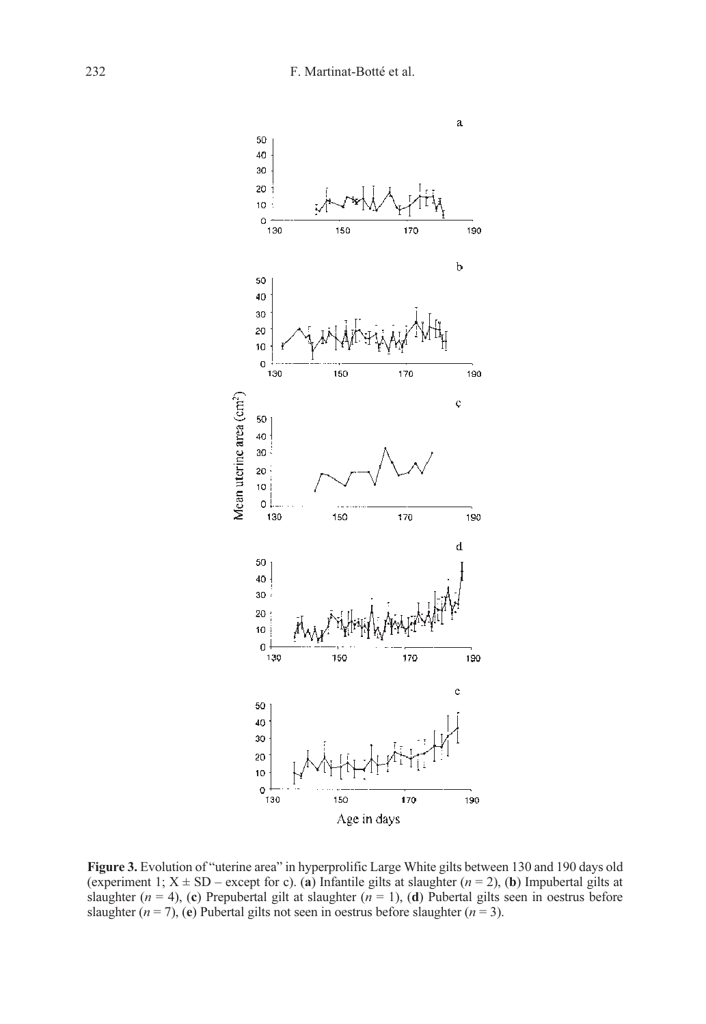

Figure 3. Evolution of "uterine area" in hyperprolific Large White gilts between 130 and 190 days old (experiment 1;  $X \pm SD$  – except for c). (a) Infantile gilts at slaughter ( $n = 2$ ), (b) Impubertal gilts at slaughter ( $n = 4$ ), (c) Prepubertal gilt at slaughter ( $n = 1$ ), (d) Pubertal gilts seen in oestrus before slaughter  $(n = 7)$ , (e) Pubertal gilts not seen in oestrus before slaughter  $(n = 3)$ .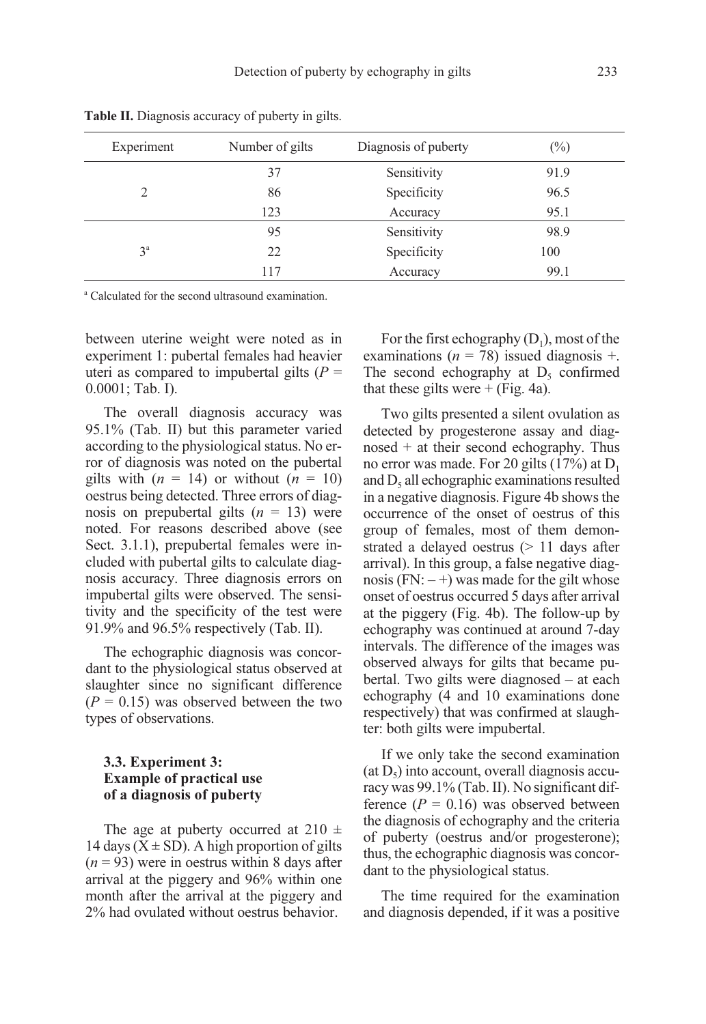| Experiment | Number of gilts | Diagnosis of puberty | $(\%)$ |
|------------|-----------------|----------------------|--------|
|            | 37              | Sensitivity          | 91.9   |
| 2          | 86              | Specificity          | 96.5   |
|            | 123             | Accuracy             | 95.1   |
|            | 95              | Sensitivity          | 98.9   |
| $3^a$      | 22              | Specificity          | 100    |
|            | 117             | Accuracy             | 99.1   |

Table II. Diagnosis accuracy of puberty in gilts.

<sup>a</sup> Calculated for the second ultrasound examination.

between uterine weight were noted as in experiment 1: pubertal females had heavier uteri as compared to impubertal gilts  $(P =$ 0.0001; Tab. I).

The overall diagnosis accuracy was 95.1% (Tab. II) but this parameter varied according to the physiological status. No error of diagnosis was noted on the pubertal gilts with  $(n = 14)$  or without  $(n = 10)$ oestrus being detected. Three errors of diagnosis on prepubertal gilts  $(n = 13)$  were noted. For reasons described above (see Sect. 3.1.1), prepubertal females were included with pubertal gilts to calculate diagnosis accuracy. Three diagnosis errors on impubertal gilts were observed. The sensitivity and the specificity of the test were 91.9% and 96.5% respectively (Tab. II).

The echographic diagnosis was concordant to the physiological status observed at slaughter since no significant difference  $(P = 0.15)$  was observed between the two types of observations.

#### 3.3. Experiment 3: Example of practical use of a diagnosis of puberty

The age at puberty occurred at 210  $\pm$ 14 days  $(X \pm SD)$ . A high proportion of gilts  $(n = 93)$  were in oestrus within 8 days after arrival at the piggery and 96% within one month after the arrival at the piggery and 2% had ovulated without oestrus behavior.

For the first echography  $(D_1)$ , most of the examinations ( $n = 78$ ) issued diagnosis +. The second echography at  $D_5$  confirmed that these gilts were  $+$  (Fig. 4a).

Two gilts presented a silent ovulation as detected by progesterone assay and diagnosed  $+$  at their second echography. Thus no error was made. For 20 gilts  $(17%)$  at  $D<sub>1</sub>$ and  $D_5$  all echographic examinations resulted in a negative diagnosis. Figure 4b shows the occurrence of the onset of oestrus of this group of females, most of them demonstrated a delayed oestrus ( $> 11$  days after arrival). In this group, a false negative diagnosis (FN:  $-$  +) was made for the gilt whose onset of oestrus occurred 5 days after arrival at the piggery (Fig. 4b). The follow-up by echography was continued at around 7-day intervals. The difference of the images was observed always for gilts that became pubertal. Two gilts were diagnosed – at each echography (4 and 10 examinations done respectively) that was confirmed at slaughter: both gilts were impubertal.

If we only take the second examination  $(at D<sub>5</sub>)$  into account, overall diagnosis accuracy was 99.1% (Tab. II). No significant difference ( $P = 0.16$ ) was observed between the diagnosis of echography and the criteria of puberty (oestrus and/or progesterone); thus, the echographic diagnosis was concordant to the physiological status.

The time required for the examination and diagnosis depended, if it was a positive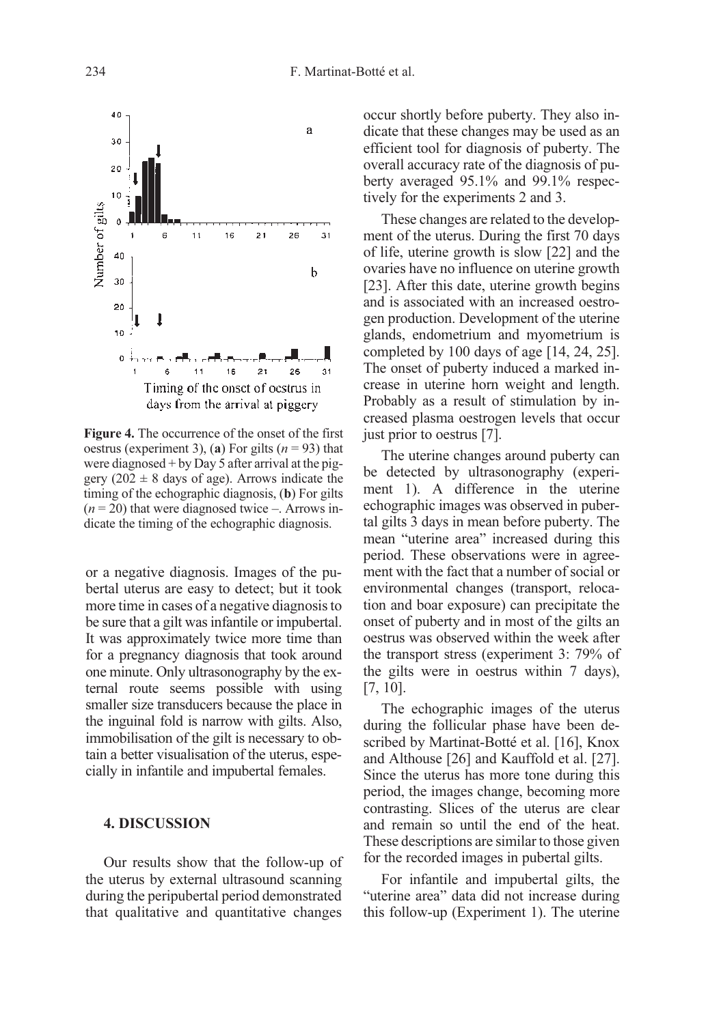

Figure 4. The occurrence of the onset of the first oestrus (experiment 3), (a) For gilts  $(n = 93)$  that were diagnosed  $+$  by Day 5 after arrival at the piggery  $(202 \pm 8)$  days of age). Arrows indicate the timing of the echographic diagnosis, (b) For gilts  $(n = 20)$  that were diagnosed twice –. Arrows indicate the timing of the echographic diagnosis.

or a negative diagnosis. Images of the pubertal uterus are easy to detect; but it took more time in cases of a negative diagnosis to be sure that a gilt was infantile or impubertal. It was approximately twice more time than for a pregnancy diagnosis that took around one minute. Only ultrasonography by the external route seems possible with using smaller size transducers because the place in the inguinal fold is narrow with gilts. Also, immobilisation of the gilt is necessary to obtain a better visualisation of the uterus, especially in infantile and impubertal females.

#### 4. DISCUSSION

Our results show that the follow-up of the uterus by external ultrasound scanning during the peripubertal period demonstrated that qualitative and quantitative changes occur shortly before puberty. They also indicate that these changes may be used as an efficient tool for diagnosis of puberty. The overall accuracy rate of the diagnosis of puberty averaged 95.1% and 99.1% respectively for the experiments 2 and 3.

These changes are related to the development of the uterus. During the first 70 days of life, uterine growth is slow [22] and the ovaries have no influence on uterine growth [23]. After this date, uterine growth begins and is associated with an increased oestrogen production. Development of the uterine glands, endometrium and myometrium is completed by 100 days of age [14, 24, 25]. The onset of puberty induced a marked increase in uterine horn weight and length. Probably as a result of stimulation by increased plasma oestrogen levels that occur just prior to oestrus [7].

The uterine changes around puberty can be detected by ultrasonography (experiment 1). A difference in the uterine echographic images was observed in pubertal gilts 3 days in mean before puberty. The mean "uterine area" increased during this period. These observations were in agreement with the fact that a number of social or environmental changes (transport, relocation and boar exposure) can precipitate the onset of puberty and in most of the gilts an oestrus was observed within the week after the transport stress (experiment 3: 79% of the gilts were in oestrus within 7 days), [7, 10].

The echographic images of the uterus during the follicular phase have been described by Martinat-Botté et al. [16], Knox and Althouse [26] and Kauffold et al. [27]. Since the uterus has more tone during this period, the images change, becoming more contrasting. Slices of the uterus are clear and remain so until the end of the heat. These descriptions are similar to those given for the recorded images in pubertal gilts.

For infantile and impubertal gilts, the "uterine area" data did not increase during this follow-up (Experiment 1). The uterine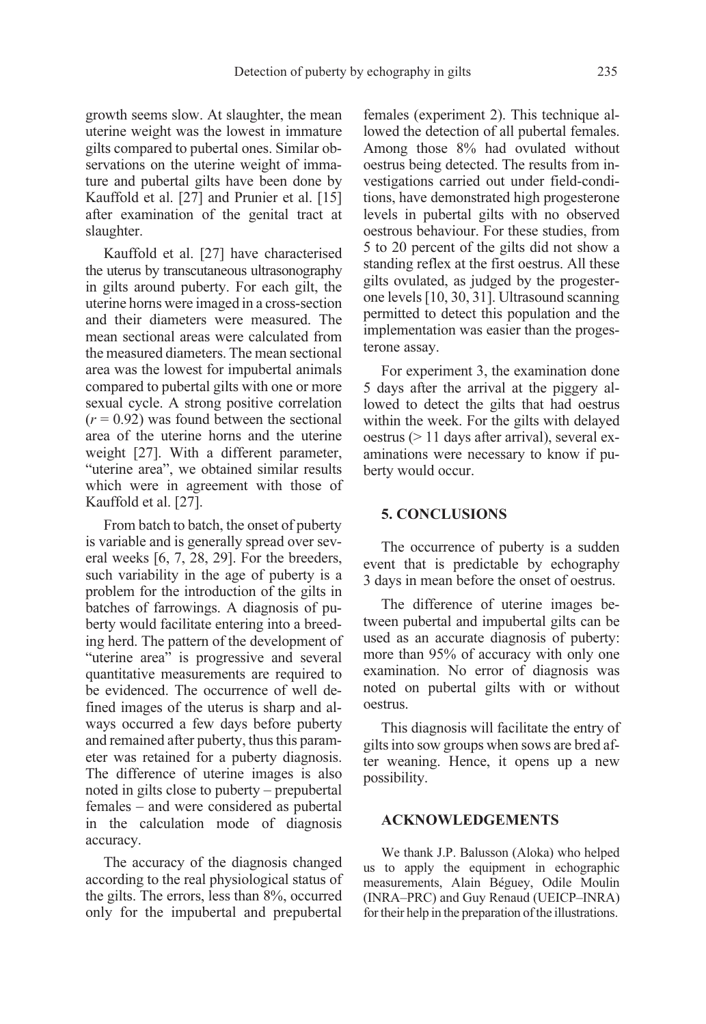growth seems slow. At slaughter, the mean uterine weight was the lowest in immature gilts compared to pubertal ones. Similar observations on the uterine weight of immature and pubertal gilts have been done by Kauffold et al. [27] and Prunier et al. [15] after examination of the genital tract at slaughter.

Kauffold et al. [27] have characterised the uterus by transcutaneous ultrasonography in gilts around puberty. For each gilt, the uterine horns were imaged in a cross-section and their diameters were measured. The mean sectional areas were calculated from the measured diameters. The mean sectional area was the lowest for impubertal animals compared to pubertal gilts with one or more sexual cycle. A strong positive correlation  $(r = 0.92)$  was found between the sectional area of the uterine horns and the uterine weight [27]. With a different parameter, "uterine area", we obtained similar results which were in agreement with those of Kauffold et al. [27].

From batch to batch, the onset of puberty is variable and is generally spread over several weeks [6, 7, 28, 29]. For the breeders, such variability in the age of puberty is a problem for the introduction of the gilts in batches of farrowings. A diagnosis of puberty would facilitate entering into a breeding herd. The pattern of the development of "uterine area" is progressive and several quantitative measurements are required to be evidenced. The occurrence of well defined images of the uterus is sharp and always occurred a few days before puberty and remained after puberty, thus this parameter was retained for a puberty diagnosis. The difference of uterine images is also noted in gilts close to puberty – prepubertal females – and were considered as pubertal in the calculation mode of diagnosis accuracy.

The accuracy of the diagnosis changed according to the real physiological status of the gilts. The errors, less than 8%, occurred only for the impubertal and prepubertal females (experiment 2). This technique allowed the detection of all pubertal females. Among those 8% had ovulated without oestrus being detected. The results from investigations carried out under field-conditions, have demonstrated high progesterone levels in pubertal gilts with no observed oestrous behaviour. For these studies, from 5 to 20 percent of the gilts did not show a standing reflex at the first oestrus. All these gilts ovulated, as judged by the progesterone levels [10, 30, 31]. Ultrasound scanning permitted to detect this population and the implementation was easier than the progesterone assay.

For experiment 3, the examination done 5 days after the arrival at the piggery allowed to detect the gilts that had oestrus within the week. For the gilts with delayed oestrus (> 11 days after arrival), several examinations were necessary to know if puberty would occur.

#### 5. CONCLUSIONS

The occurrence of puberty is a sudden event that is predictable by echography 3 days in mean before the onset of oestrus.

The difference of uterine images between pubertal and impubertal gilts can be used as an accurate diagnosis of puberty: more than 95% of accuracy with only one examination. No error of diagnosis was noted on pubertal gilts with or without oestrus.

This diagnosis will facilitate the entry of gilts into sow groups when sows are bred after weaning. Hence, it opens up a new possibility.

#### ACKNOWLEDGEMENTS

We thank J.P. Balusson (Aloka) who helped us to apply the equipment in echographic measurements, Alain Béguey, Odile Moulin (INRA–PRC) and Guy Renaud (UEICP–INRA) for their help in the preparation of the illustrations.